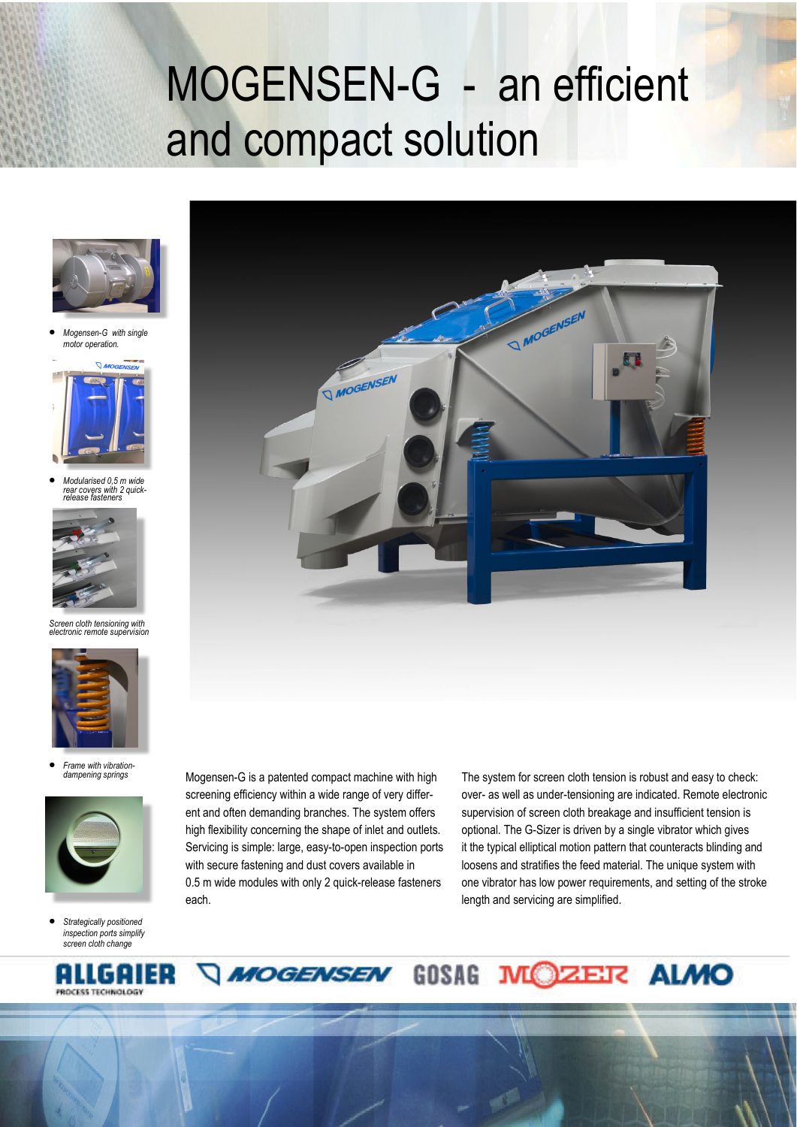## MOGENSEN-G - an efficient and compact solution



• *Mogensen-G with single motor operation.* 



• *Modularised 0,5 m wide rear covers with 2 quick-release fasteners*



*Screen cloth tensioning with electronic remote supervision* 



• *Frame with vibration dampening springs* 



• *Strategically positioned inspection ports simplify screen cloth change* 

ENG





ent and often demanding branches. The system offers high flexibility concerning the shape of inlet and outlets. Servicing is simple: large, easy-to-open inspection ports with secure fastening and dust covers available in 0.5 m wide modules with only 2 quick-release fasteners each.

**MOGENSEN** 

The system for screen cloth tension is robust and easy to check: over- as well as under-tensioning are indicated. Remote electronic supervision of screen cloth breakage and insufficient tension is optional. The G-Sizer is driven by a single vibrator which gives it the typical elliptical motion pattern that counteracts blinding and loosens and stratifies the feed material. The unique system with one vibrator has low power requirements, and setting of the stroke length and servicing are simplified.

**MOZER ALMO** 



GOSAG